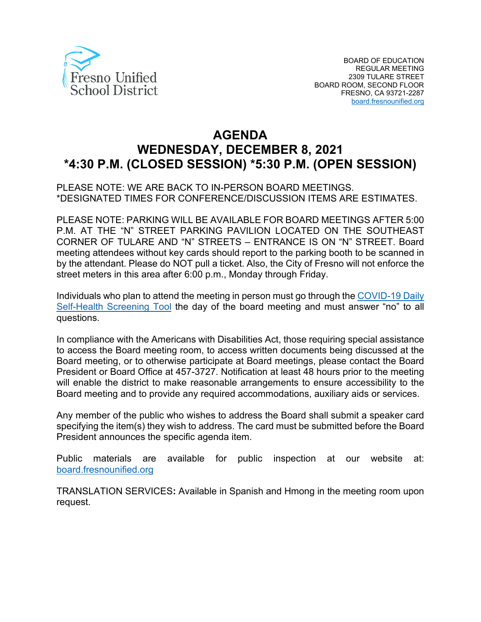

# **AGENDA WEDNESDAY, DECEMBER 8, 2021 \*4:30 P.M. (CLOSED SESSION) \*5:30 P.M. (OPEN SESSION)**

PLEASE NOTE: WE ARE BACK TO IN-PERSON BOARD MEETINGS. \*DESIGNATED TIMES FOR CONFERENCE/DISCUSSION ITEMS ARE ESTIMATES.

PLEASE NOTE: PARKING WILL BE AVAILABLE FOR BOARD MEETINGS AFTER 5:00 P.M. AT THE "N" STREET PARKING PAVILION LOCATED ON THE SOUTHEAST CORNER OF TULARE AND "N" STREETS – ENTRANCE IS ON "N" STREET. Board meeting attendees without key cards should report to the parking booth to be scanned in by the attendant. Please do NOT pull a ticket. Also, the City of Fresno will not enforce the street meters in this area after 6:00 p.m., Monday through Friday.

Individuals who plan to attend the meeting in person must go through the [COVID-19 Daily](https://www.fresnounified.org/covid19/)  [Self-Health Screening Tool](https://www.fresnounified.org/covid19/) the day of the board meeting and must answer "no" to all questions.

In compliance with the Americans with Disabilities Act, those requiring special assistance to access the Board meeting room, to access written documents being discussed at the Board meeting, or to otherwise participate at Board meetings, please contact the Board President or Board Office at 457-3727. Notification at least 48 hours prior to the meeting will enable the district to make reasonable arrangements to ensure accessibility to the Board meeting and to provide any required accommodations, auxiliary aids or services.

Any member of the public who wishes to address the Board shall submit a speaker card specifying the item(s) they wish to address. The card must be submitted before the Board President announces the specific agenda item.

Public materials are available for public inspection at our website at: [board.fresnounified.org](https://board.fresnounified.org/)

TRANSLATION SERVICES**:** Available in Spanish and Hmong in the meeting room upon request.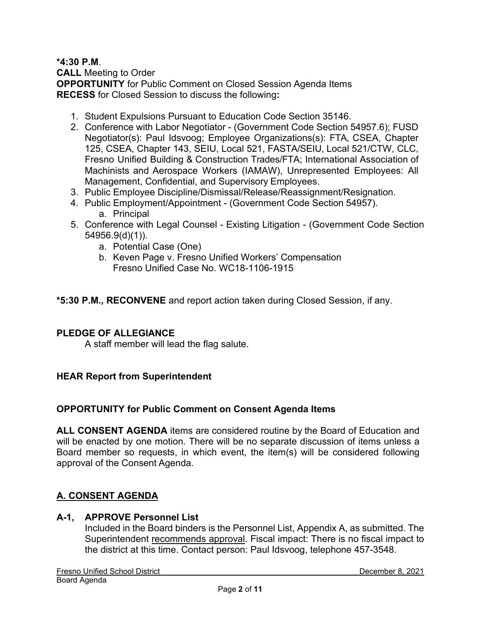# **\*4:30 P.M**.

**CALL** Meeting to Order **OPPORTUNITY** for Public Comment on Closed Session Agenda Items **RECESS** for Closed Session to discuss the following**:**

- 1. Student Expulsions Pursuant to Education Code Section 35146.
- 2. Conference with Labor Negotiator (Government Code Section 54957.6); FUSD Negotiator(s): Paul Idsvoog; Employee Organizations(s): FTA, CSEA, Chapter 125, CSEA, Chapter 143, SEIU, Local 521, FASTA/SEIU, Local 521/CTW, CLC, Fresno Unified Building & Construction Trades/FTA; International Association of Machinists and Aerospace Workers (IAMAW), Unrepresented Employees: All Management, Confidential, and Supervisory Employees.
- 3. Public Employee Discipline/Dismissal/Release/Reassignment/Resignation.
- 4. Public Employment/Appointment (Government Code Section 54957). a. Principal
- 5. Conference with Legal Counsel Existing Litigation (Government Code Section 54956.9(d)(1)).
	- a. Potential Case (One)
	- b. Keven Page v. Fresno Unified Workers' Compensation Fresno Unified Case No. WC18-1106-1915

**\*5:30 P.M., RECONVENE** and report action taken during Closed Session, if any.

# **PLEDGE OF ALLEGIANCE**

A staff member will lead the flag salute.

# **HEAR Report from Superintendent**

#### **OPPORTUNITY for Public Comment on Consent Agenda Items**

**ALL CONSENT AGENDA** items are considered routine by the Board of Education and will be enacted by one motion. There will be no separate discussion of items unless a Board member so requests, in which event, the item(s) will be considered following approval of the Consent Agenda.

# **A. CONSENT AGENDA**

#### **A-1, APPROVE Personnel List**

Included in the Board binders is the Personnel List, Appendix A, as submitted. The Superintendent recommends approval. Fiscal impact: There is no fiscal impact to the district at this time. Contact person: Paul Idsvoog, telephone 457-3548.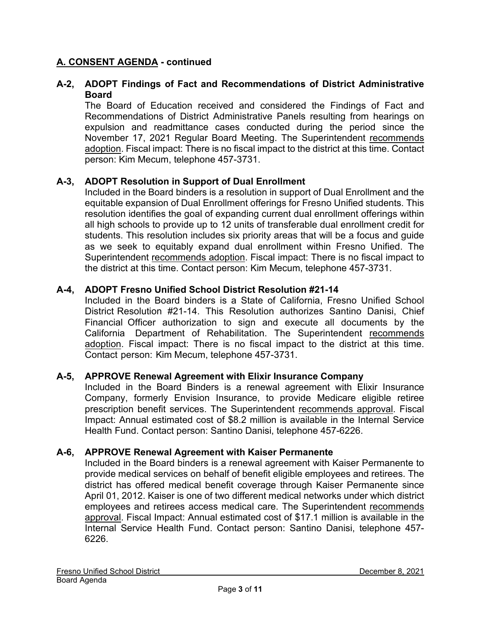# **A-2, ADOPT Findings of Fact and Recommendations of District Administrative Board**

The Board of Education received and considered the Findings of Fact and Recommendations of District Administrative Panels resulting from hearings on expulsion and readmittance cases conducted during the period since the November 17, 2021 Regular Board Meeting. The Superintendent recommends adoption. Fiscal impact: There is no fiscal impact to the district at this time. Contact person: Kim Mecum, telephone 457-3731.

# **A-3, ADOPT Resolution in Support of Dual Enrollment**

Included in the Board binders is a resolution in support of Dual Enrollment and the equitable expansion of Dual Enrollment offerings for Fresno Unified students. This resolution identifies the goal of expanding current dual enrollment offerings within all high schools to provide up to 12 units of transferable dual enrollment credit for students. This resolution includes six priority areas that will be a focus and guide as we seek to equitably expand dual enrollment within Fresno Unified. The Superintendent recommends adoption. Fiscal impact: There is no fiscal impact to the district at this time. Contact person: Kim Mecum, telephone 457-3731.

# **A-4, ADOPT Fresno Unified School District Resolution #21-14**

Included in the Board binders is a State of California, Fresno Unified School District Resolution #21-14. This Resolution authorizes Santino Danisi, Chief Financial Officer authorization to sign and execute all documents by the California Department of Rehabilitation. The Superintendent recommends adoption. Fiscal impact: There is no fiscal impact to the district at this time. Contact person: Kim Mecum, telephone 457-3731.

#### **A-5, APPROVE Renewal Agreement with Elixir Insurance Company**

Included in the Board Binders is a renewal agreement with Elixir Insurance Company, formerly Envision Insurance, to provide Medicare eligible retiree prescription benefit services. The Superintendent recommends approval. Fiscal Impact: Annual estimated cost of \$8.2 million is available in the Internal Service Health Fund. Contact person: Santino Danisi, telephone 457-6226.

#### **A-6, APPROVE Renewal Agreement with Kaiser Permanente**

Included in the Board binders is a renewal agreement with Kaiser Permanente to provide medical services on behalf of benefit eligible employees and retirees. The district has offered medical benefit coverage through Kaiser Permanente since April 01, 2012. Kaiser is one of two different medical networks under which district employees and retirees access medical care. The Superintendent recommends approval. Fiscal Impact: Annual estimated cost of \$17.1 million is available in the Internal Service Health Fund. Contact person: Santino Danisi, telephone 457- 6226.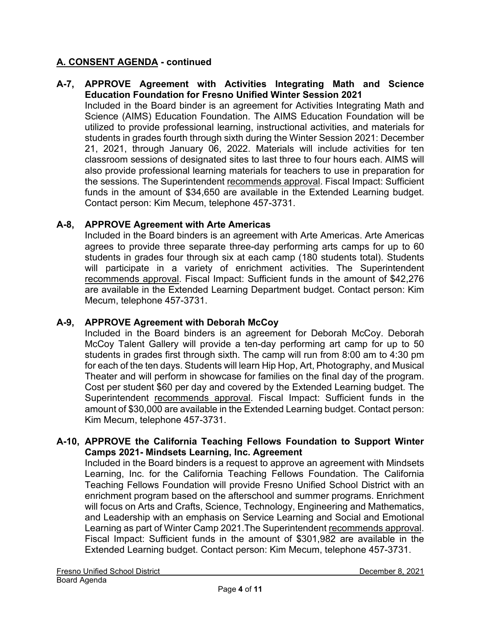#### **A-7, APPROVE Agreement with Activities Integrating Math and Science Education Foundation for Fresno Unified Winter Session 2021**

Included in the Board binder is an agreement for Activities Integrating Math and Science (AIMS) Education Foundation. The AIMS Education Foundation will be utilized to provide professional learning, instructional activities, and materials for students in grades fourth through sixth during the Winter Session 2021: December 21, 2021, through January 06, 2022. Materials will include activities for ten classroom sessions of designated sites to last three to four hours each. AIMS will also provide professional learning materials for teachers to use in preparation for the sessions. The Superintendent recommends approval. Fiscal Impact: Sufficient funds in the amount of \$34,650 are available in the Extended Learning budget. Contact person: Kim Mecum, telephone 457-3731.

# **A-8, APPROVE Agreement with Arte Americas**

Included in the Board binders is an agreement with Arte Americas. Arte Americas agrees to provide three separate three-day performing arts camps for up to 60 students in grades four through six at each camp (180 students total). Students will participate in a variety of enrichment activities. The Superintendent recommends approval. Fiscal Impact: Sufficient funds in the amount of \$42,276 are available in the Extended Learning Department budget. Contact person: Kim Mecum, telephone 457-3731.

#### **A-9, APPROVE Agreement with Deborah McCoy**

Included in the Board binders is an agreement for Deborah McCoy. Deborah McCoy Talent Gallery will provide a ten-day performing art camp for up to 50 students in grades first through sixth. The camp will run from 8:00 am to 4:30 pm for each of the ten days. Students will learn Hip Hop, Art, Photography, and Musical Theater and will perform in showcase for families on the final day of the program. Cost per student \$60 per day and covered by the Extended Learning budget. The Superintendent recommends approval. Fiscal Impact: Sufficient funds in the amount of \$30,000 are available in the Extended Learning budget. Contact person: Kim Mecum, telephone 457-3731.

#### **A-10, APPROVE the California Teaching Fellows Foundation to Support Winter Camps 2021- Mindsets Learning, Inc. Agreement**

Included in the Board binders is a request to approve an agreement with Mindsets Learning, Inc. for the California Teaching Fellows Foundation. The California Teaching Fellows Foundation will provide Fresno Unified School District with an enrichment program based on the afterschool and summer programs. Enrichment will focus on Arts and Crafts, Science, Technology, Engineering and Mathematics, and Leadership with an emphasis on Service Learning and Social and Emotional Learning as part of Winter Camp 2021.The Superintendent recommends approval. Fiscal Impact: Sufficient funds in the amount of \$301,982 are available in the Extended Learning budget. Contact person: Kim Mecum, telephone 457-3731.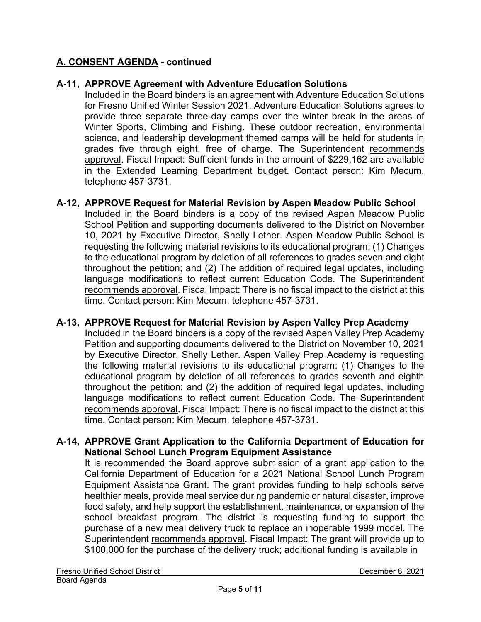# **A-11, APPROVE Agreement with Adventure Education Solutions**

Included in the Board binders is an agreement with Adventure Education Solutions for Fresno Unified Winter Session 2021. Adventure Education Solutions agrees to provide three separate three-day camps over the winter break in the areas of Winter Sports, Climbing and Fishing. These outdoor recreation, environmental science, and leadership development themed camps will be held for students in grades five through eight, free of charge. The Superintendent recommends approval. Fiscal Impact: Sufficient funds in the amount of \$229,162 are available in the Extended Learning Department budget. Contact person: Kim Mecum, telephone 457-3731.

# **A-12, APPROVE Request for Material Revision by Aspen Meadow Public School**

Included in the Board binders is a copy of the revised Aspen Meadow Public School Petition and supporting documents delivered to the District on November 10, 2021 by Executive Director, Shelly Lether. Aspen Meadow Public School is requesting the following material revisions to its educational program: (1) Changes to the educational program by deletion of all references to grades seven and eight throughout the petition; and (2) The addition of required legal updates, including language modifications to reflect current Education Code. The Superintendent recommends approval. Fiscal Impact: There is no fiscal impact to the district at this time. Contact person: Kim Mecum, telephone 457-3731.

#### **A-13, APPROVE Request for Material Revision by Aspen Valley Prep Academy**

Included in the Board binders is a copy of the revised Aspen Valley Prep Academy Petition and supporting documents delivered to the District on November 10, 2021 by Executive Director, Shelly Lether. Aspen Valley Prep Academy is requesting the following material revisions to its educational program: (1) Changes to the educational program by deletion of all references to grades seventh and eighth throughout the petition; and (2) the addition of required legal updates, including language modifications to reflect current Education Code. The Superintendent recommends approval. Fiscal Impact: There is no fiscal impact to the district at this time. Contact person: Kim Mecum, telephone 457-3731.

#### **A-14, APPROVE Grant Application to the California Department of Education for National School Lunch Program Equipment Assistance**

It is recommended the Board approve submission of a grant application to the California Department of Education for a 2021 National School Lunch Program Equipment Assistance Grant. The grant provides funding to help schools serve healthier meals, provide meal service during pandemic or natural disaster, improve food safety, and help support the establishment, maintenance, or expansion of the school breakfast program. The district is requesting funding to support the purchase of a new meal delivery truck to replace an inoperable 1999 model. The Superintendent recommends approval. Fiscal Impact: The grant will provide up to \$100,000 for the purchase of the delivery truck; additional funding is available in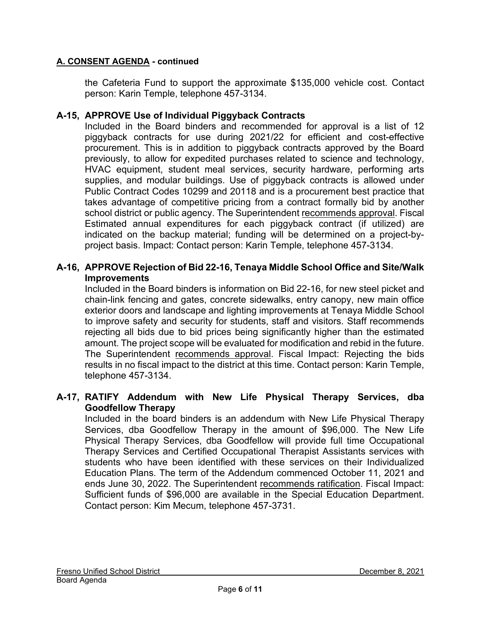the Cafeteria Fund to support the approximate \$135,000 vehicle cost. Contact person: Karin Temple, telephone 457-3134.

# **A-15, APPROVE Use of Individual Piggyback Contracts**

Included in the Board binders and recommended for approval is a list of 12 piggyback contracts for use during 2021/22 for efficient and cost-effective procurement. This is in addition to piggyback contracts approved by the Board previously, to allow for expedited purchases related to science and technology, HVAC equipment, student meal services, security hardware, performing arts supplies, and modular buildings. Use of piggyback contracts is allowed under Public Contract Codes 10299 and 20118 and is a procurement best practice that takes advantage of competitive pricing from a contract formally bid by another school district or public agency. The Superintendent recommends approval. Fiscal Estimated annual expenditures for each piggyback contract (if utilized) are indicated on the backup material; funding will be determined on a project-byproject basis. Impact: Contact person: Karin Temple, telephone 457-3134.

#### **A-16, APPROVE Rejection of Bid 22-16, Tenaya Middle School Office and Site/Walk Improvements**

Included in the Board binders is information on Bid 22-16, for new steel picket and chain-link fencing and gates, concrete sidewalks, entry canopy, new main office exterior doors and landscape and lighting improvements at Tenaya Middle School to improve safety and security for students, staff and visitors. Staff recommends rejecting all bids due to bid prices being significantly higher than the estimated amount. The project scope will be evaluated for modification and rebid in the future. The Superintendent recommends approval. Fiscal Impact: Rejecting the bids results in no fiscal impact to the district at this time. Contact person: Karin Temple, telephone 457-3134.

#### **A-17, RATIFY Addendum with New Life Physical Therapy Services, dba Goodfellow Therapy**

Included in the board binders is an addendum with New Life Physical Therapy Services, dba Goodfellow Therapy in the amount of \$96,000. The New Life Physical Therapy Services, dba Goodfellow will provide full time Occupational Therapy Services and Certified Occupational Therapist Assistants services with students who have been identified with these services on their Individualized Education Plans. The term of the Addendum commenced October 11, 2021 and ends June 30, 2022. The Superintendent recommends ratification. Fiscal Impact: Sufficient funds of \$96,000 are available in the Special Education Department. Contact person: Kim Mecum, telephone 457-3731.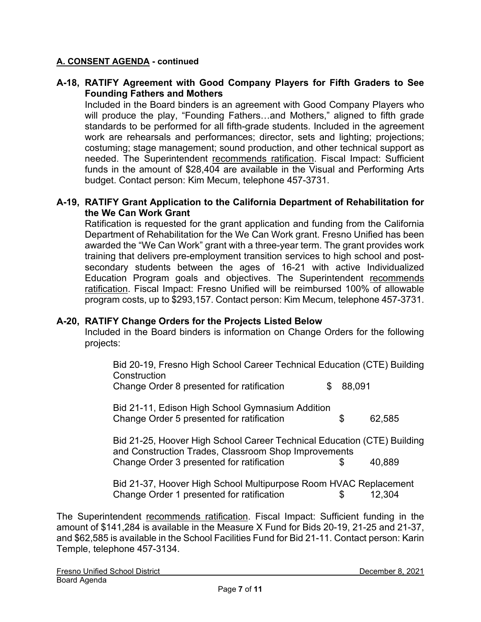# **A-18, RATIFY Agreement with Good Company Players for Fifth Graders to See Founding Fathers and Mothers**

Included in the Board binders is an agreement with Good Company Players who will produce the play, "Founding Fathers…and Mothers," aligned to fifth grade standards to be performed for all fifth-grade students. Included in the agreement work are rehearsals and performances; director, sets and lighting; projections; costuming; stage management; sound production, and other technical support as needed. The Superintendent recommends ratification. Fiscal Impact: Sufficient funds in the amount of \$28,404 are available in the Visual and Performing Arts budget. Contact person: Kim Mecum, telephone 457-3731.

#### **A-19, RATIFY Grant Application to the California Department of Rehabilitation for the We Can Work Grant**

Ratification is requested for the grant application and funding from the California Department of Rehabilitation for the We Can Work grant. Fresno Unified has been awarded the "We Can Work" grant with a three-year term. The grant provides work training that delivers pre-employment transition services to high school and postsecondary students between the ages of 16-21 with active Individualized Education Program goals and objectives. The Superintendent recommends ratification. Fiscal Impact: Fresno Unified will be reimbursed 100% of allowable program costs, up to \$293,157. Contact person: Kim Mecum, telephone 457-3731.

#### **A-20, RATIFY Change Orders for the Projects Listed Below**

Included in the Board binders is information on Change Orders for the following projects:

| Bid 20-19, Fresno High School Career Technical Education (CTE) Building<br>Construction                                         |     |        |        |
|---------------------------------------------------------------------------------------------------------------------------------|-----|--------|--------|
| Change Order 8 presented for ratification                                                                                       | \$. | 88,091 |        |
| Bid 21-11, Edison High School Gymnasium Addition<br>Change Order 5 presented for ratification                                   |     | \$     | 62,585 |
| Bid 21-25, Hoover High School Career Technical Education (CTE) Building<br>and Construction Trades, Classroom Shop Improvements |     |        |        |
| Change Order 3 presented for ratification                                                                                       |     | S      | 40,889 |
| Bid 21-37, Hoover High School Multipurpose Room HVAC Replacement<br>Change Order 1 presented for ratification                   |     | \$     | 12.304 |

The Superintendent recommends ratification. Fiscal Impact: Sufficient funding in the amount of \$141,284 is available in the Measure X Fund for Bids 20-19, 21-25 and 21-37, and \$62,585 is available in the School Facilities Fund for Bid 21-11. Contact person: Karin Temple, telephone 457-3134.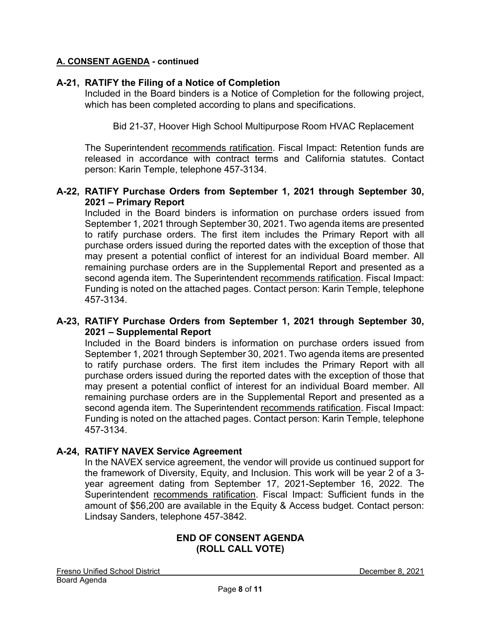# **A-21, RATIFY the Filing of a Notice of Completion**

Included in the Board binders is a Notice of Completion for the following project, which has been completed according to plans and specifications.

Bid 21-37, Hoover High School Multipurpose Room HVAC Replacement

The Superintendent recommends ratification. Fiscal Impact: Retention funds are released in accordance with contract terms and California statutes. Contact person: Karin Temple, telephone 457-3134.

# **A-22, RATIFY Purchase Orders from September 1, 2021 through September 30, 2021 – Primary Report**

Included in the Board binders is information on purchase orders issued from September 1, 2021 through September 30, 2021. Two agenda items are presented to ratify purchase orders. The first item includes the Primary Report with all purchase orders issued during the reported dates with the exception of those that may present a potential conflict of interest for an individual Board member. All remaining purchase orders are in the Supplemental Report and presented as a second agenda item. The Superintendent recommends ratification. Fiscal Impact: Funding is noted on the attached pages. Contact person: Karin Temple, telephone 457-3134.

# **A-23, RATIFY Purchase Orders from September 1, 2021 through September 30, 2021 – Supplemental Report**

Included in the Board binders is information on purchase orders issued from September 1, 2021 through September 30, 2021. Two agenda items are presented to ratify purchase orders. The first item includes the Primary Report with all purchase orders issued during the reported dates with the exception of those that may present a potential conflict of interest for an individual Board member. All remaining purchase orders are in the Supplemental Report and presented as a second agenda item. The Superintendent recommends ratification. Fiscal Impact: Funding is noted on the attached pages. Contact person: Karin Temple, telephone 457-3134.

# **A-24, RATIFY NAVEX Service Agreement**

In the NAVEX service agreement, the vendor will provide us continued support for the framework of Diversity, Equity, and Inclusion. This work will be year 2 of a 3 year agreement dating from September 17, 2021-September 16, 2022. The Superintendent recommends ratification. Fiscal Impact: Sufficient funds in the amount of \$56,200 are available in the Equity & Access budget. Contact person: Lindsay Sanders, telephone 457-3842.

#### **END OF CONSENT AGENDA (ROLL CALL VOTE)**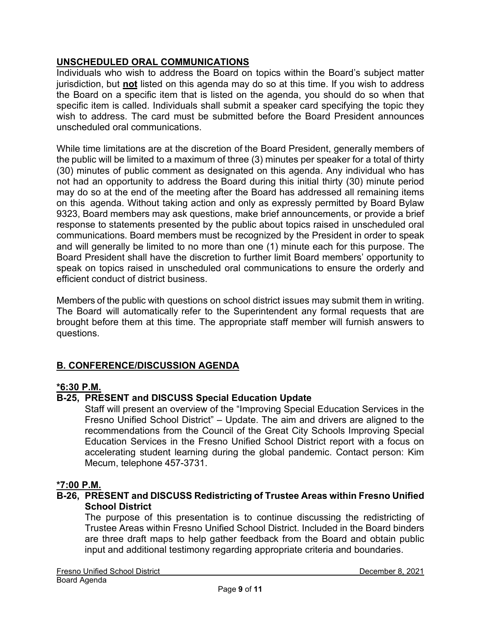# **UNSCHEDULED ORAL COMMUNICATIONS**

Individuals who wish to address the Board on topics within the Board's subject matter jurisdiction, but **not** listed on this agenda may do so at this time. If you wish to address the Board on a specific item that is listed on the agenda, you should do so when that specific item is called. Individuals shall submit a speaker card specifying the topic they wish to address. The card must be submitted before the Board President announces unscheduled oral communications.

While time limitations are at the discretion of the Board President, generally members of the public will be limited to a maximum of three (3) minutes per speaker for a total of thirty (30) minutes of public comment as designated on this agenda. Any individual who has not had an opportunity to address the Board during this initial thirty (30) minute period may do so at the end of the meeting after the Board has addressed all remaining items on this agenda. Without taking action and only as expressly permitted by Board Bylaw 9323, Board members may ask questions, make brief announcements, or provide a brief response to statements presented by the public about topics raised in unscheduled oral communications. Board members must be recognized by the President in order to speak and will generally be limited to no more than one (1) minute each for this purpose. The Board President shall have the discretion to further limit Board members' opportunity to speak on topics raised in unscheduled oral communications to ensure the orderly and efficient conduct of district business.

Members of the public with questions on school district issues may submit them in writing. The Board will automatically refer to the Superintendent any formal requests that are brought before them at this time. The appropriate staff member will furnish answers to questions.

# **B. CONFERENCE/DISCUSSION AGENDA**

# **\*6:30 P.M.**

# **B-25, PRESENT and DISCUSS Special Education Update**

Staff will present an overview of the "Improving Special Education Services in the Fresno Unified School District" – Update. The aim and drivers are aligned to the recommendations from the Council of the Great City Schools Improving Special Education Services in the Fresno Unified School District report with a focus on accelerating student learning during the global pandemic. Contact person: Kim Mecum, telephone 457-3731.

#### **\*7:00 P.M.**

# **B-26, PRESENT and DISCUSS Redistricting of Trustee Areas within Fresno Unified School District**

The purpose of this presentation is to continue discussing the redistricting of Trustee Areas within Fresno Unified School District. Included in the Board binders are three draft maps to help gather feedback from the Board and obtain public input and additional testimony regarding appropriate criteria and boundaries.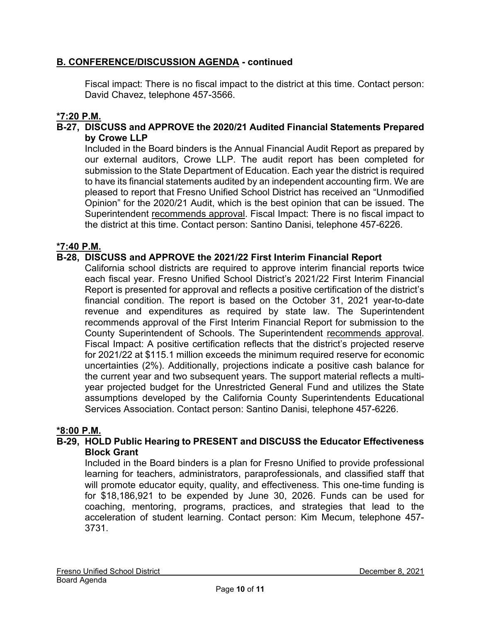# **B. CONFERENCE/DISCUSSION AGENDA - continued**

Fiscal impact: There is no fiscal impact to the district at this time. Contact person: David Chavez, telephone 457-3566.

# **\*7:20 P.M.**

# **B-27, DISCUSS and APPROVE the 2020/21 Audited Financial Statements Prepared by Crowe LLP**

Included in the Board binders is the Annual Financial Audit Report as prepared by our external auditors, Crowe LLP. The audit report has been completed for submission to the State Department of Education. Each year the district is required to have its financial statements audited by an independent accounting firm. We are pleased to report that Fresno Unified School District has received an "Unmodified Opinion" for the 2020/21 Audit, which is the best opinion that can be issued. The Superintendent recommends approval. Fiscal Impact: There is no fiscal impact to the district at this time. Contact person: Santino Danisi, telephone 457-6226.

# **\*7:40 P.M.**

# **B-28, DISCUSS and APPROVE the 2021/22 First Interim Financial Report**

California school districts are required to approve interim financial reports twice each fiscal year. Fresno Unified School District's 2021/22 First Interim Financial Report is presented for approval and reflects a positive certification of the district's financial condition. The report is based on the October 31, 2021 year-to-date revenue and expenditures as required by state law. The Superintendent recommends approval of the First Interim Financial Report for submission to the County Superintendent of Schools. The Superintendent recommends approval. Fiscal Impact: A positive certification reflects that the district's projected reserve for 2021/22 at \$115.1 million exceeds the minimum required reserve for economic uncertainties (2%). Additionally, projections indicate a positive cash balance for the current year and two subsequent years. The support material reflects a multiyear projected budget for the Unrestricted General Fund and utilizes the State assumptions developed by the California County Superintendents Educational Services Association. Contact person: Santino Danisi, telephone 457-6226.

#### **\*8:00 P.M.**

# **B-29, HOLD Public Hearing to PRESENT and DISCUSS the Educator Effectiveness Block Grant**

Included in the Board binders is a plan for Fresno Unified to provide professional learning for teachers, administrators, paraprofessionals, and classified staff that will promote educator equity, quality, and effectiveness. This one-time funding is for \$18,186,921 to be expended by June 30, 2026. Funds can be used for coaching, mentoring, programs, practices, and strategies that lead to the acceleration of student learning. Contact person: Kim Mecum, telephone 457- 3731.